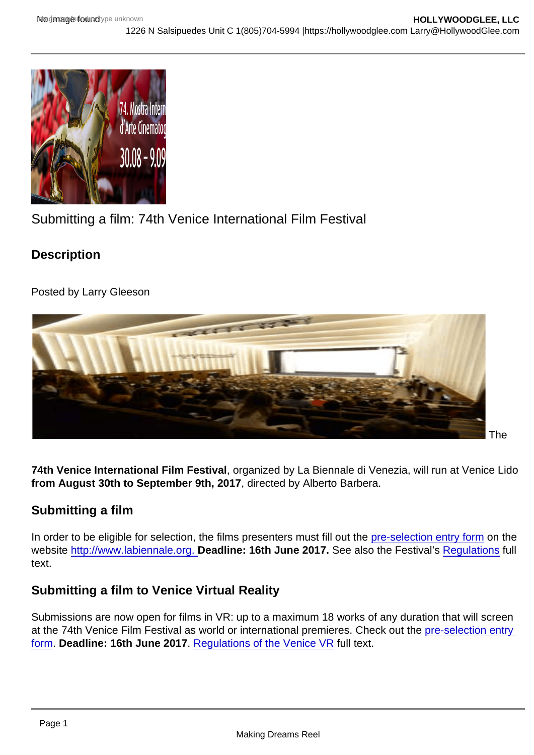Submitting a film: 74th Venice International Film Festival

**Description** 

Posted by Larry Gleeson

74th Venice International Film Festival

The

74th Venice International Film Festival , organized by La Biennale di Venezia, will run at Venice Lido from August 30th to September 9th, 2017 , directed by Alberto Barbera.

## Submitting a film

In order to be eligible for selection, the films presenters must fill out the [pre-selection entry form](http://web2.labiennale.org/selezione/1e.aspx) on the website [http://www.labiennale.org.](http://www.labiennale.org. ) Deadline: 16th June 2017. See also the Festival's [Regulations](http://www.labiennale.org/en/cinema/regulations/) full text.

## Submitting a film to Venice Virtual Reality

Submissions are now open for films in VR: up to a maximum 18 works of any duration that will screen at the 74th Venice Film Festival as world or international premieres. Check out the [pre-selection entry](http://web2.labiennale.org/selezione/1e.aspx)  [form](http://web2.labiennale.org/selezione/1e.aspx). Deadline: 16th June 2017 . [Regulations of the Venice VR](http://www.labiennale.org/en/cinema/regulations-vvr/) full text.